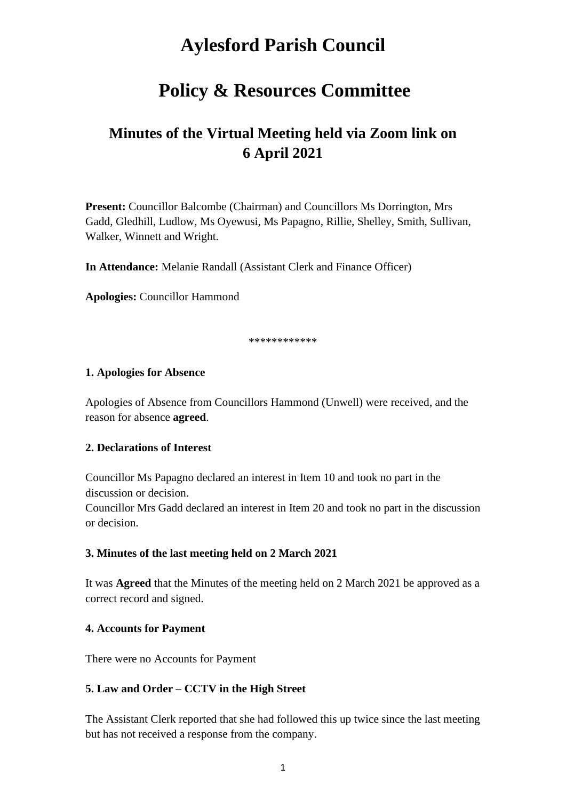# **Aylesford Parish Council**

## **Policy & Resources Committee**

## **Minutes of the Virtual Meeting held via Zoom link on 6 April 2021**

**Present:** Councillor Balcombe (Chairman) and Councillors Ms Dorrington, Mrs Gadd, Gledhill, Ludlow, Ms Oyewusi, Ms Papagno, Rillie, Shelley, Smith, Sullivan, Walker, Winnett and Wright.

**In Attendance:** Melanie Randall (Assistant Clerk and Finance Officer)

**Apologies:** Councillor Hammond

\*\*\*\*\*\*\*\*\*\*\*\*

#### **1. Apologies for Absence**

Apologies of Absence from Councillors Hammond (Unwell) were received, and the reason for absence **agreed**.

#### **2. Declarations of Interest**

Councillor Ms Papagno declared an interest in Item 10 and took no part in the discussion or decision.

Councillor Mrs Gadd declared an interest in Item 20 and took no part in the discussion or decision.

#### **3. Minutes of the last meeting held on 2 March 2021**

It was **Agreed** that the Minutes of the meeting held on 2 March 2021 be approved as a correct record and signed.

#### **4. Accounts for Payment**

There were no Accounts for Payment

#### **5. Law and Order – CCTV in the High Street**

The Assistant Clerk reported that she had followed this up twice since the last meeting but has not received a response from the company.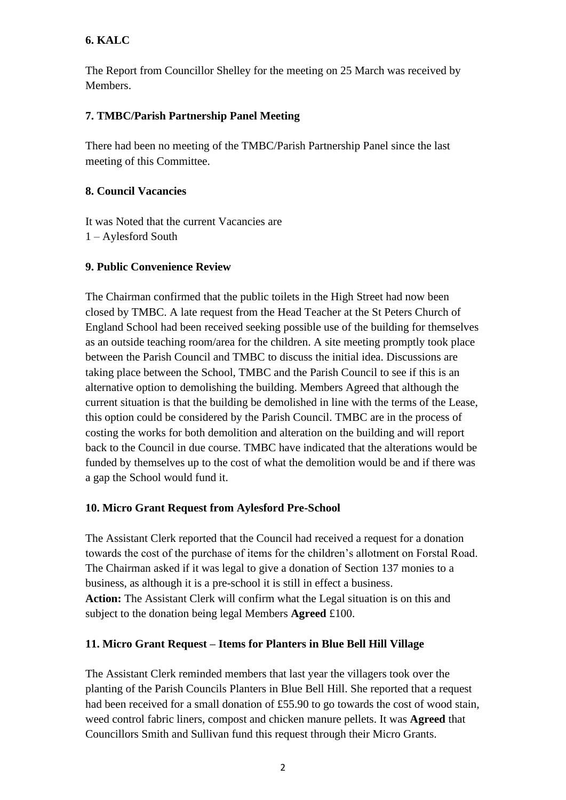## **6. KALC**

The Report from Councillor Shelley for the meeting on 25 March was received by Members.

### **7. TMBC/Parish Partnership Panel Meeting**

There had been no meeting of the TMBC/Parish Partnership Panel since the last meeting of this Committee.

#### **8. Council Vacancies**

It was Noted that the current Vacancies are 1 – Aylesford South

#### **9. Public Convenience Review**

The Chairman confirmed that the public toilets in the High Street had now been closed by TMBC. A late request from the Head Teacher at the St Peters Church of England School had been received seeking possible use of the building for themselves as an outside teaching room/area for the children. A site meeting promptly took place between the Parish Council and TMBC to discuss the initial idea. Discussions are taking place between the School, TMBC and the Parish Council to see if this is an alternative option to demolishing the building. Members Agreed that although the current situation is that the building be demolished in line with the terms of the Lease, this option could be considered by the Parish Council. TMBC are in the process of costing the works for both demolition and alteration on the building and will report back to the Council in due course. TMBC have indicated that the alterations would be funded by themselves up to the cost of what the demolition would be and if there was a gap the School would fund it.

### **10. Micro Grant Request from Aylesford Pre-School**

The Assistant Clerk reported that the Council had received a request for a donation towards the cost of the purchase of items for the children's allotment on Forstal Road. The Chairman asked if it was legal to give a donation of Section 137 monies to a business, as although it is a pre-school it is still in effect a business. **Action:** The Assistant Clerk will confirm what the Legal situation is on this and subject to the donation being legal Members **Agreed** £100.

### **11. Micro Grant Request – Items for Planters in Blue Bell Hill Village**

The Assistant Clerk reminded members that last year the villagers took over the planting of the Parish Councils Planters in Blue Bell Hill. She reported that a request had been received for a small donation of £55.90 to go towards the cost of wood stain, weed control fabric liners, compost and chicken manure pellets. It was **Agreed** that Councillors Smith and Sullivan fund this request through their Micro Grants.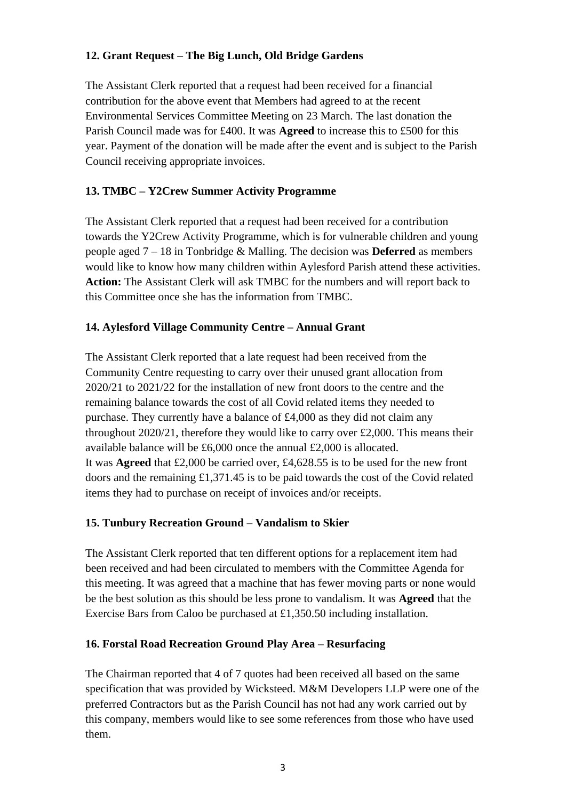## **12. Grant Request – The Big Lunch, Old Bridge Gardens**

The Assistant Clerk reported that a request had been received for a financial contribution for the above event that Members had agreed to at the recent Environmental Services Committee Meeting on 23 March. The last donation the Parish Council made was for £400. It was **Agreed** to increase this to £500 for this year. Payment of the donation will be made after the event and is subject to the Parish Council receiving appropriate invoices.

## **13. TMBC – Y2Crew Summer Activity Programme**

The Assistant Clerk reported that a request had been received for a contribution towards the Y2Crew Activity Programme, which is for vulnerable children and young people aged 7 – 18 in Tonbridge & Malling. The decision was **Deferred** as members would like to know how many children within Aylesford Parish attend these activities. **Action:** The Assistant Clerk will ask TMBC for the numbers and will report back to this Committee once she has the information from TMBC.

### **14. Aylesford Village Community Centre – Annual Grant**

The Assistant Clerk reported that a late request had been received from the Community Centre requesting to carry over their unused grant allocation from 2020/21 to 2021/22 for the installation of new front doors to the centre and the remaining balance towards the cost of all Covid related items they needed to purchase. They currently have a balance of £4,000 as they did not claim any throughout 2020/21, therefore they would like to carry over £2,000. This means their available balance will be £6,000 once the annual £2,000 is allocated. It was **Agreed** that £2,000 be carried over, £4,628.55 is to be used for the new front doors and the remaining £1,371.45 is to be paid towards the cost of the Covid related items they had to purchase on receipt of invoices and/or receipts.

### **15. Tunbury Recreation Ground – Vandalism to Skier**

The Assistant Clerk reported that ten different options for a replacement item had been received and had been circulated to members with the Committee Agenda for this meeting. It was agreed that a machine that has fewer moving parts or none would be the best solution as this should be less prone to vandalism. It was **Agreed** that the Exercise Bars from Caloo be purchased at £1,350.50 including installation.

### **16. Forstal Road Recreation Ground Play Area – Resurfacing**

The Chairman reported that 4 of 7 quotes had been received all based on the same specification that was provided by Wicksteed. M&M Developers LLP were one of the preferred Contractors but as the Parish Council has not had any work carried out by this company, members would like to see some references from those who have used them.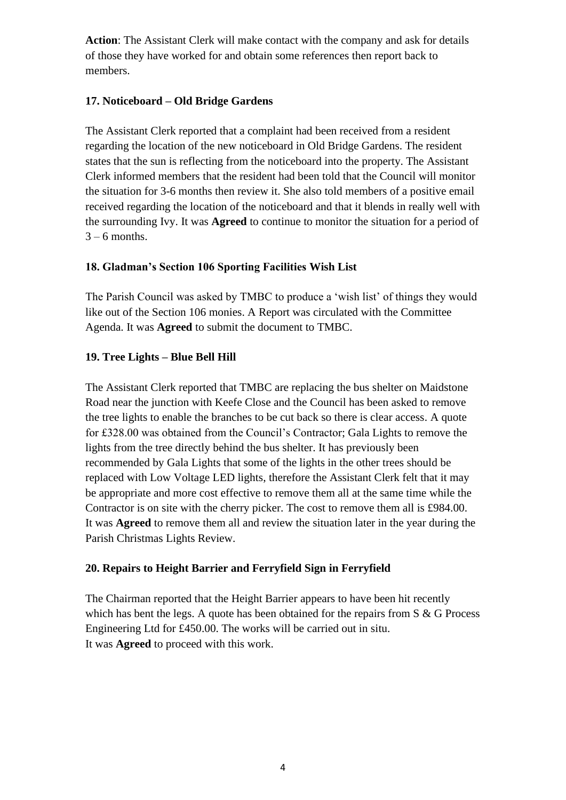**Action**: The Assistant Clerk will make contact with the company and ask for details of those they have worked for and obtain some references then report back to members.

#### **17. Noticeboard – Old Bridge Gardens**

The Assistant Clerk reported that a complaint had been received from a resident regarding the location of the new noticeboard in Old Bridge Gardens. The resident states that the sun is reflecting from the noticeboard into the property. The Assistant Clerk informed members that the resident had been told that the Council will monitor the situation for 3-6 months then review it. She also told members of a positive email received regarding the location of the noticeboard and that it blends in really well with the surrounding Ivy. It was **Agreed** to continue to monitor the situation for a period of  $3 - 6$  months.

### **18. Gladman's Section 106 Sporting Facilities Wish List**

The Parish Council was asked by TMBC to produce a 'wish list' of things they would like out of the Section 106 monies. A Report was circulated with the Committee Agenda. It was **Agreed** to submit the document to TMBC.

### **19. Tree Lights – Blue Bell Hill**

The Assistant Clerk reported that TMBC are replacing the bus shelter on Maidstone Road near the junction with Keefe Close and the Council has been asked to remove the tree lights to enable the branches to be cut back so there is clear access. A quote for £328.00 was obtained from the Council's Contractor; Gala Lights to remove the lights from the tree directly behind the bus shelter. It has previously been recommended by Gala Lights that some of the lights in the other trees should be replaced with Low Voltage LED lights, therefore the Assistant Clerk felt that it may be appropriate and more cost effective to remove them all at the same time while the Contractor is on site with the cherry picker. The cost to remove them all is £984.00. It was **Agreed** to remove them all and review the situation later in the year during the Parish Christmas Lights Review.

### **20. Repairs to Height Barrier and Ferryfield Sign in Ferryfield**

The Chairman reported that the Height Barrier appears to have been hit recently which has bent the legs. A quote has been obtained for the repairs from S & G Process Engineering Ltd for £450.00. The works will be carried out in situ. It was **Agreed** to proceed with this work.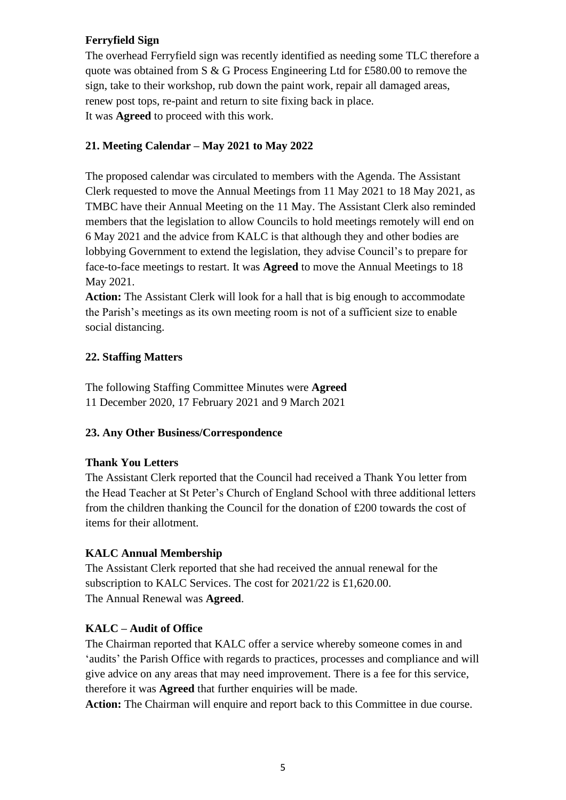#### **Ferryfield Sign**

The overhead Ferryfield sign was recently identified as needing some TLC therefore a quote was obtained from S & G Process Engineering Ltd for £580.00 to remove the sign, take to their workshop, rub down the paint work, repair all damaged areas, renew post tops, re-paint and return to site fixing back in place. It was **Agreed** to proceed with this work.

## **21. Meeting Calendar – May 2021 to May 2022**

The proposed calendar was circulated to members with the Agenda. The Assistant Clerk requested to move the Annual Meetings from 11 May 2021 to 18 May 2021, as TMBC have their Annual Meeting on the 11 May. The Assistant Clerk also reminded members that the legislation to allow Councils to hold meetings remotely will end on 6 May 2021 and the advice from KALC is that although they and other bodies are lobbying Government to extend the legislation, they advise Council's to prepare for face-to-face meetings to restart. It was **Agreed** to move the Annual Meetings to 18 May 2021.

**Action:** The Assistant Clerk will look for a hall that is big enough to accommodate the Parish's meetings as its own meeting room is not of a sufficient size to enable social distancing.

### **22. Staffing Matters**

The following Staffing Committee Minutes were **Agreed** 11 December 2020, 17 February 2021 and 9 March 2021

### **23. Any Other Business/Correspondence**

### **Thank You Letters**

The Assistant Clerk reported that the Council had received a Thank You letter from the Head Teacher at St Peter's Church of England School with three additional letters from the children thanking the Council for the donation of £200 towards the cost of items for their allotment.

### **KALC Annual Membership**

The Assistant Clerk reported that she had received the annual renewal for the subscription to KALC Services. The cost for 2021/22 is £1,620.00. The Annual Renewal was **Agreed**.

### **KALC – Audit of Office**

The Chairman reported that KALC offer a service whereby someone comes in and 'audits' the Parish Office with regards to practices, processes and compliance and will give advice on any areas that may need improvement. There is a fee for this service, therefore it was **Agreed** that further enquiries will be made.

**Action:** The Chairman will enquire and report back to this Committee in due course.